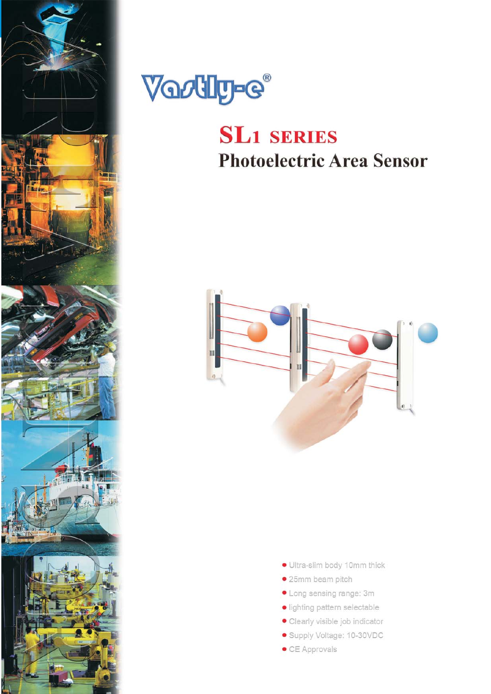



# **SL1 SERIES Photoelectric Area Sensor**



- · Ultra-slim body 10mm thick
- · 25mm beam pitch
- Long sensing range: 3m
- · lighting pattern selectable
- · Clearly visible job indicator
- · Supply Voltage: 10-30VDC
- CE Approvals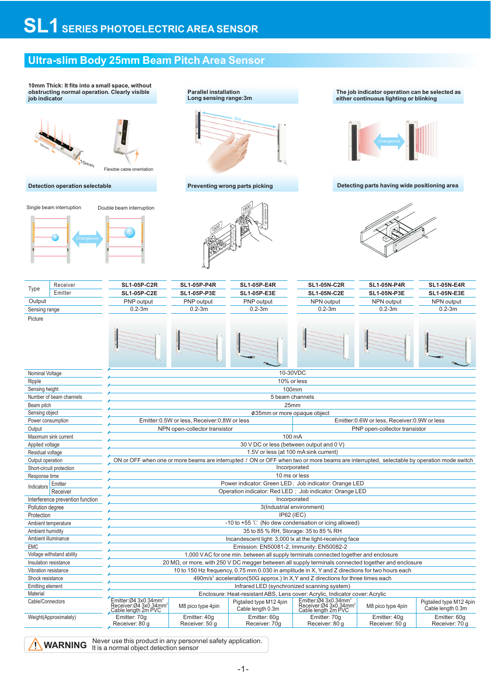### **Ultra-slim Body 25mm Beam Pitch Area Sensor**

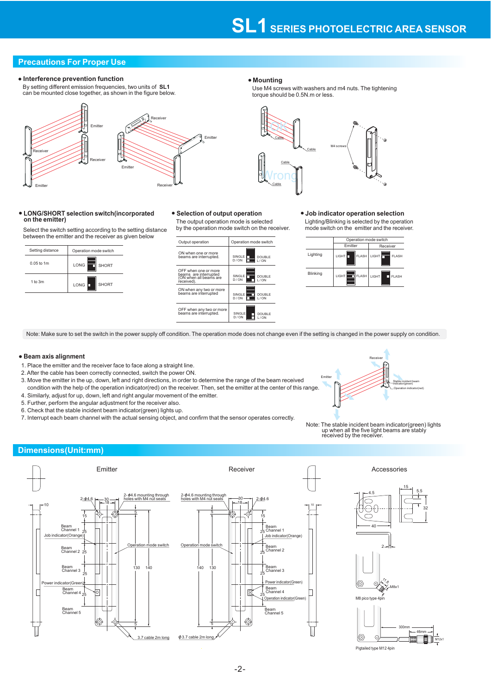### **Precautions For Proper Use**

#### • Interference prevention function **Mounting** • Mounting

By setting different emission frequencies, two units of SL1 can be mounted close together, as shown in the figure below.

### Receiver Receiver Receiver Emitter Receiver Emitter Emitter Emitter

## **LONG/SHORT selection switch(incorporated on the emitter)**

Select the switch setting according to the setting distance between the emitter and the receiver as given below



The output operation mode is selected by the operation mode switch on the receiver.



#### Lighting/Blinking is selected by the operation mode switch on the emitter and the receiver. **Selection of output operation Job indicator operation selection**

|          | Operation mode switch |                          |
|----------|-----------------------|--------------------------|
|          | Emitter               | Receiver                 |
| Lighting | <b>FLASH</b><br>LIGHT | LIGHT IT<br><b>FLASH</b> |
| Blinking | LIGHT<br><b>FLASH</b> | LIGHT<br>FI ASH          |

Note: Make sure to set the switch in the power supply off condition. The operation mode does not change even if the setting is changed in the power supply on condition.

#### **Beam axis alignment**

- 1. Place the emitter and the receiver face to face along a straight line.
- 2. After the cable has been correctly connected, switch the power ON.
- 3. Move the emitter in the up, down, left and right directions, in order to determine the range of the beam received condition with the help of the operation indicator(red) on the receiver. Then, set the emitter at the center of this range.
- 4. Similarly, adjust for up, down, left and right angular movement of the emitter.
- 5. Further, perform the angular adjustment for the receiver also.
- 6. Check that the stable incident beam indicator(green) lights up.
- 7. Interrupt each beam channel with the actual sensing object, and confirm that the sensor operates correctly.



Note: The stable incident beam indicator(green) lights up when all the five light beams are stably received by the receiver.

#### **Dimensions(Unit:mm)**





**Cable** 

OK

Cable

Wrong

Cable

Use M4 screws with washers and m4 nuts. The tightening torque should be 0.5N.m or less.

M4 screws

**Cable**